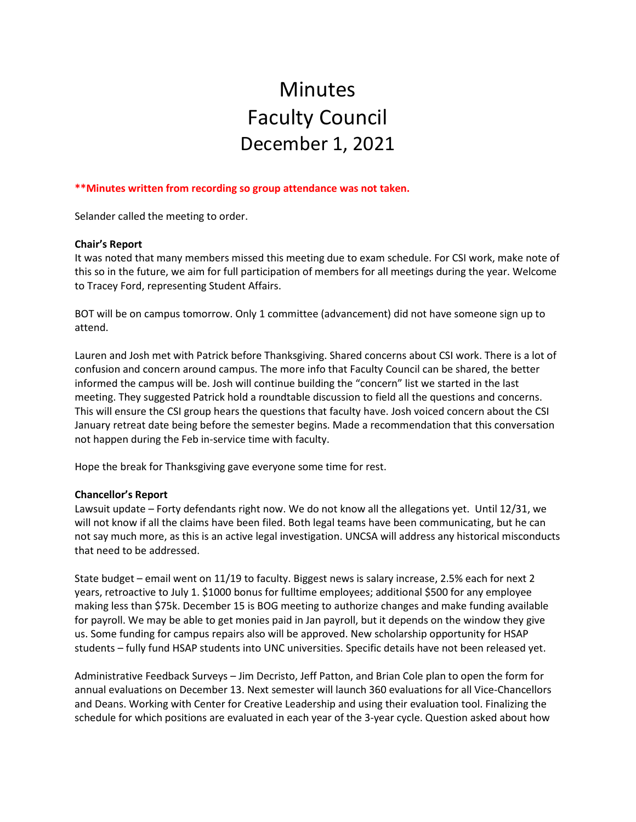# Minutes Faculty Council December 1, 2021

### **\*\*Minutes written from recording so group attendance was not taken.**

Selander called the meeting to order.

#### **Chair's Report**

It was noted that many members missed this meeting due to exam schedule. For CSI work, make note of this so in the future, we aim for full participation of members for all meetings during the year. Welcome to Tracey Ford, representing Student Affairs.

BOT will be on campus tomorrow. Only 1 committee (advancement) did not have someone sign up to attend.

Lauren and Josh met with Patrick before Thanksgiving. Shared concerns about CSI work. There is a lot of confusion and concern around campus. The more info that Faculty Council can be shared, the better informed the campus will be. Josh will continue building the "concern" list we started in the last meeting. They suggested Patrick hold a roundtable discussion to field all the questions and concerns. This will ensure the CSI group hears the questions that faculty have. Josh voiced concern about the CSI January retreat date being before the semester begins. Made a recommendation that this conversation not happen during the Feb in-service time with faculty.

Hope the break for Thanksgiving gave everyone some time for rest.

#### **Chancellor's Report**

Lawsuit update – Forty defendants right now. We do not know all the allegations yet. Until 12/31, we will not know if all the claims have been filed. Both legal teams have been communicating, but he can not say much more, as this is an active legal investigation. UNCSA will address any historical misconducts that need to be addressed.

State budget – email went on 11/19 to faculty. Biggest news is salary increase, 2.5% each for next 2 years, retroactive to July 1. \$1000 bonus for fulltime employees; additional \$500 for any employee making less than \$75k. December 15 is BOG meeting to authorize changes and make funding available for payroll. We may be able to get monies paid in Jan payroll, but it depends on the window they give us. Some funding for campus repairs also will be approved. New scholarship opportunity for HSAP students – fully fund HSAP students into UNC universities. Specific details have not been released yet.

Administrative Feedback Surveys – Jim Decristo, Jeff Patton, and Brian Cole plan to open the form for annual evaluations on December 13. Next semester will launch 360 evaluations for all Vice-Chancellors and Deans. Working with Center for Creative Leadership and using their evaluation tool. Finalizing the schedule for which positions are evaluated in each year of the 3-year cycle. Question asked about how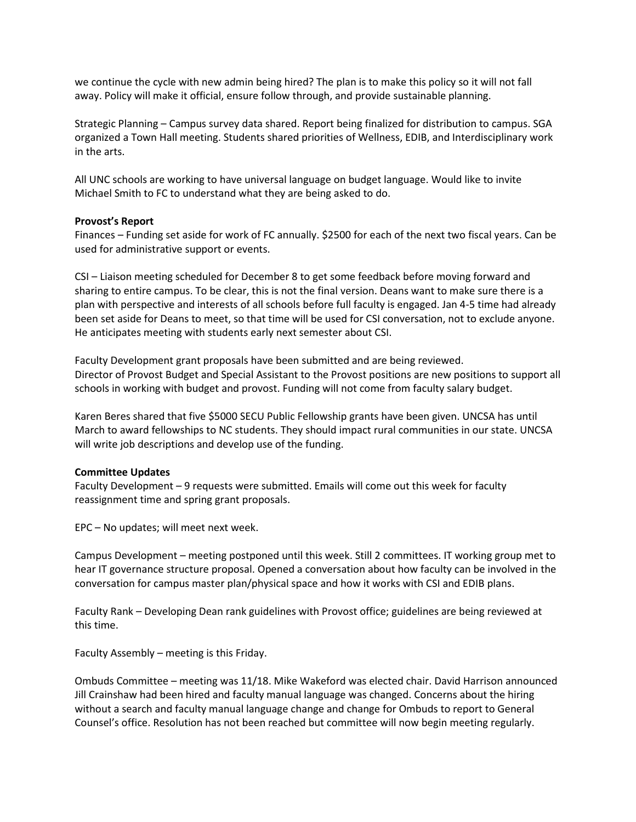we continue the cycle with new admin being hired? The plan is to make this policy so it will not fall away. Policy will make it official, ensure follow through, and provide sustainable planning.

Strategic Planning – Campus survey data shared. Report being finalized for distribution to campus. SGA organized a Town Hall meeting. Students shared priorities of Wellness, EDIB, and Interdisciplinary work in the arts.

All UNC schools are working to have universal language on budget language. Would like to invite Michael Smith to FC to understand what they are being asked to do.

## **Provost's Report**

Finances – Funding set aside for work of FC annually. \$2500 for each of the next two fiscal years. Can be used for administrative support or events.

CSI – Liaison meeting scheduled for December 8 to get some feedback before moving forward and sharing to entire campus. To be clear, this is not the final version. Deans want to make sure there is a plan with perspective and interests of all schools before full faculty is engaged. Jan 4-5 time had already been set aside for Deans to meet, so that time will be used for CSI conversation, not to exclude anyone. He anticipates meeting with students early next semester about CSI.

Faculty Development grant proposals have been submitted and are being reviewed. Director of Provost Budget and Special Assistant to the Provost positions are new positions to support all schools in working with budget and provost. Funding will not come from faculty salary budget.

Karen Beres shared that five \$5000 SECU Public Fellowship grants have been given. UNCSA has until March to award fellowships to NC students. They should impact rural communities in our state. UNCSA will write job descriptions and develop use of the funding.

#### **Committee Updates**

Faculty Development – 9 requests were submitted. Emails will come out this week for faculty reassignment time and spring grant proposals.

EPC – No updates; will meet next week.

Campus Development – meeting postponed until this week. Still 2 committees. IT working group met to hear IT governance structure proposal. Opened a conversation about how faculty can be involved in the conversation for campus master plan/physical space and how it works with CSI and EDIB plans.

Faculty Rank – Developing Dean rank guidelines with Provost office; guidelines are being reviewed at this time.

Faculty Assembly – meeting is this Friday.

Ombuds Committee – meeting was 11/18. Mike Wakeford was elected chair. David Harrison announced Jill Crainshaw had been hired and faculty manual language was changed. Concerns about the hiring without a search and faculty manual language change and change for Ombuds to report to General Counsel's office. Resolution has not been reached but committee will now begin meeting regularly.